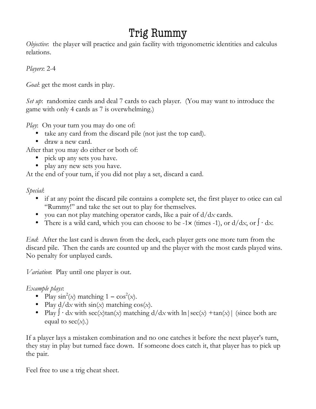## Trig Rummy

*Objective*: the player will practice and gain facility with trigonometric identities and calculus relations.

*Players*: 2-4

*Goal*: get the most cards in play.

*Set up*: randomize cards and deal 7 cards to each player. (You may want to introduce the game with only 4 cards as 7 is overwhelming.)

*Play*: On your turn you may do one of:

- take any card from the discard pile (not just the top card).
- draw a new card.

After that you may do either or both of:

- pick up any sets you have.
- play any new sets you have.

At the end of your turn, if you did not play a set, discard a card.

*Special*:

- if at any point the discard pile contains a complete set, the first player to otice can cal "Rummy!" and take the set out to play for themselves.
- you can not play matching operator cards, like a pair of d/d*x* cards.
- There is a wild card, which you can choose to be -1× (times -1), or d/d*x*, or ∫ ⋅ d*x.*

*End*: After the last card is drawn from the deck, each player gets one more turn from the discard pile. Then the cards are counted up and the player with the most cards played wins. No penalty for unplayed cards.

*Variation*: Play until one player is out.

*Example plays*:

- Play  $\sin^2(x)$  matching  $1 \cos^2(x)$ .
- Play  $d/dx$  with  $sin(x)$  matching  $cos(x)$ .
- Play  $\int \cdot dx$  with  $\sec(x)\tan(x)$  matching  $d/dx$  with  $\ln|\sec(x) + \tan(x)|$  (since both are equal to  $sec(x)$ .)

If a player lays a mistaken combination and no one catches it before the next player's turn, they stay in play but turned face down. If someone does catch it, that player has to pick up the pair.

Feel free to use a trig cheat sheet.